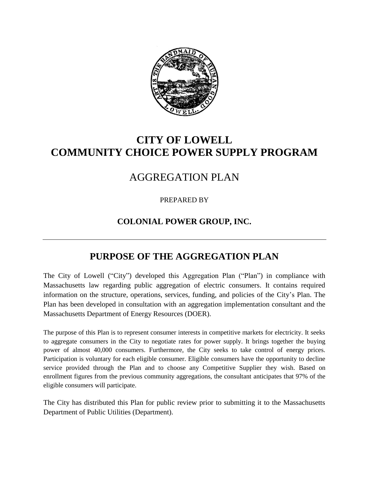

# **CITY OF LOWELL COMMUNITY CHOICE POWER SUPPLY PROGRAM**

## AGGREGATION PLAN

PREPARED BY

### **COLONIAL POWER GROUP, INC.**

## **PURPOSE OF THE AGGREGATION PLAN**

The City of Lowell ("City") developed this Aggregation Plan ("Plan") in compliance with Massachusetts law regarding public aggregation of electric consumers. It contains required information on the structure, operations, services, funding, and policies of the City's Plan. The Plan has been developed in consultation with an aggregation implementation consultant and the Massachusetts Department of Energy Resources (DOER).

The purpose of this Plan is to represent consumer interests in competitive markets for electricity. It seeks to aggregate consumers in the City to negotiate rates for power supply. It brings together the buying power of almost 40,000 consumers. Furthermore, the City seeks to take control of energy prices. Participation is voluntary for each eligible consumer. Eligible consumers have the opportunity to decline service provided through the Plan and to choose any Competitive Supplier they wish. Based on enrollment figures from the previous community aggregations, the consultant anticipates that 97% of the eligible consumers will participate.

The City has distributed this Plan for public review prior to submitting it to the Massachusetts Department of Public Utilities (Department).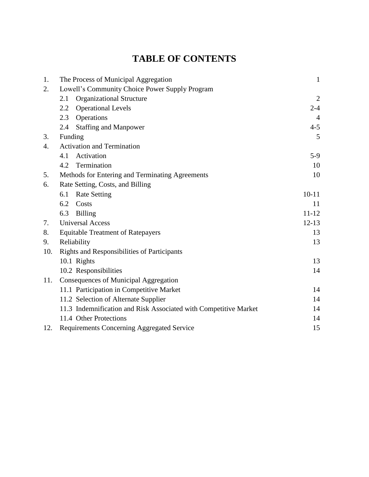# **TABLE OF CONTENTS**

| 1.               | The Process of Municipal Aggregation                             | $\mathbf{1}$   |
|------------------|------------------------------------------------------------------|----------------|
| 2.               | Lowell's Community Choice Power Supply Program                   |                |
|                  | <b>Organizational Structure</b><br>2.1                           | 2              |
|                  | <b>Operational Levels</b><br>2.2                                 | $2 - 4$        |
|                  | Operations<br>2.3                                                | $\overline{4}$ |
|                  | <b>Staffing and Manpower</b><br>2.4                              | $4 - 5$        |
| 3.               | Funding                                                          | 5              |
| $\overline{4}$ . | <b>Activation and Termination</b>                                |                |
|                  | Activation<br>4.1                                                | $5-9$          |
|                  | 4.2 Termination                                                  | 10             |
| 5.               | Methods for Entering and Terminating Agreements                  | 10             |
| 6.               | Rate Setting, Costs, and Billing                                 |                |
|                  | <b>Rate Setting</b><br>6.1                                       | $10 - 11$      |
|                  | 6.2<br>Costs                                                     | 11             |
|                  | 6.3<br>Billing                                                   | $11 - 12$      |
| 7.               | <b>Universal Access</b>                                          | $12 - 13$      |
| 8.               | <b>Equitable Treatment of Ratepayers</b>                         |                |
| 9.               | Reliability                                                      |                |
| 10.              | Rights and Responsibilities of Participants                      |                |
|                  | 10.1 Rights                                                      | 13             |
|                  | 10.2 Responsibilities                                            | 14             |
| 11.              | Consequences of Municipal Aggregation                            |                |
|                  | 11.1 Participation in Competitive Market                         | 14             |
|                  | 11.2 Selection of Alternate Supplier                             | 14             |
|                  | 11.3 Indemnification and Risk Associated with Competitive Market | 14             |
|                  | 11.4 Other Protections                                           | 14             |
| 12.              | Requirements Concerning Aggregated Service                       | 15             |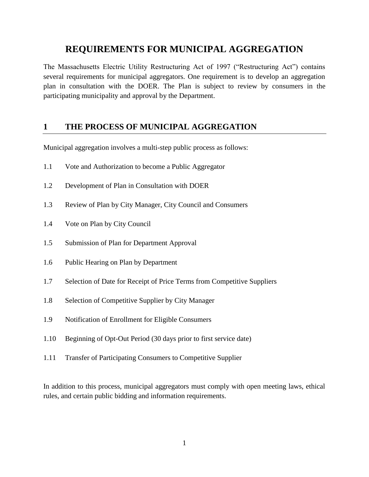## **REQUIREMENTS FOR MUNICIPAL AGGREGATION**

The Massachusetts Electric Utility Restructuring Act of 1997 ("Restructuring Act") contains several requirements for municipal aggregators. One requirement is to develop an aggregation plan in consultation with the DOER. The Plan is subject to review by consumers in the participating municipality and approval by the Department.

### **1 THE PROCESS OF MUNICIPAL AGGREGATION**

Municipal aggregation involves a multi-step public process as follows:

- 1.1 Vote and Authorization to become a Public Aggregator
- 1.2 Development of Plan in Consultation with DOER
- 1.3 Review of Plan by City Manager, City Council and Consumers
- 1.4 Vote on Plan by City Council
- 1.5 Submission of Plan for Department Approval
- 1.6 Public Hearing on Plan by Department
- 1.7 Selection of Date for Receipt of Price Terms from Competitive Suppliers
- 1.8 Selection of Competitive Supplier by City Manager
- 1.9 Notification of Enrollment for Eligible Consumers
- 1.10 Beginning of Opt-Out Period (30 days prior to first service date)
- 1.11 Transfer of Participating Consumers to Competitive Supplier

In addition to this process, municipal aggregators must comply with open meeting laws, ethical rules, and certain public bidding and information requirements.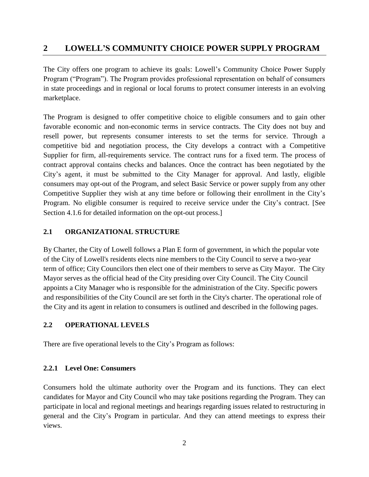### **2 LOWELL'S COMMUNITY CHOICE POWER SUPPLY PROGRAM**

The City offers one program to achieve its goals: Lowell's Community Choice Power Supply Program ("Program"). The Program provides professional representation on behalf of consumers in state proceedings and in regional or local forums to protect consumer interests in an evolving marketplace.

The Program is designed to offer competitive choice to eligible consumers and to gain other favorable economic and non-economic terms in service contracts. The City does not buy and resell power, but represents consumer interests to set the terms for service. Through a competitive bid and negotiation process, the City develops a contract with a Competitive Supplier for firm, all-requirements service. The contract runs for a fixed term. The process of contract approval contains checks and balances. Once the contract has been negotiated by the City's agent, it must be submitted to the City Manager for approval. And lastly, eligible consumers may opt-out of the Program, and select Basic Service or power supply from any other Competitive Supplier they wish at any time before or following their enrollment in the City's Program. No eligible consumer is required to receive service under the City's contract. [See Section 4.1.6 for detailed information on the opt-out process.]

#### **2.1 ORGANIZATIONAL STRUCTURE**

By Charter, the City of Lowell follows a [Plan E form of](http://www.lowellma.gov/govt/info/plan-e-government) government, in which the popular vote of the City of Lowell's residents elects nine members to the City Council to serve a two-year term of office; City Councilors then elect one of their members to serve as City Mayor. The City Mayor serves as the official head of the City presiding over City Council. The City Council appoints a City Manager who is responsible for the administration of the City. Specific powers and responsibilities of the City Council are set forth in the City's charter. The operational role of the City and its agent in relation to consumers is outlined and described in the following pages.

#### **2.2 OPERATIONAL LEVELS**

There are five operational levels to the City's Program as follows:

#### **2.2.1 Level One: Consumers**

Consumers hold the ultimate authority over the Program and its functions. They can elect candidates for Mayor and City Council who may take positions regarding the Program. They can participate in local and regional meetings and hearings regarding issues related to restructuring in general and the City's Program in particular. And they can attend meetings to express their views.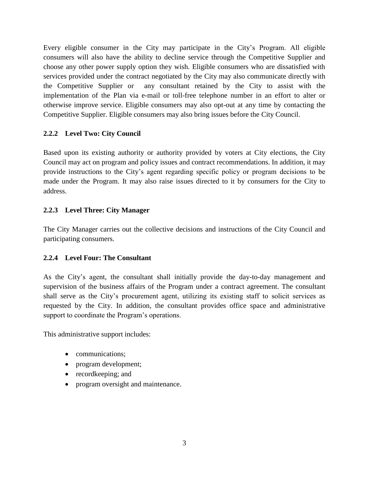Every eligible consumer in the City may participate in the City's Program. All eligible consumers will also have the ability to decline service through the Competitive Supplier and choose any other power supply option they wish. Eligible consumers who are dissatisfied with services provided under the contract negotiated by the City may also communicate directly with the Competitive Supplier or any consultant retained by the City to assist with the implementation of the Plan via e-mail or toll-free telephone number in an effort to alter or otherwise improve service. Eligible consumers may also opt-out at any time by contacting the Competitive Supplier. Eligible consumers may also bring issues before the City Council.

#### **2.2.2 Level Two: City Council**

Based upon its existing authority or authority provided by voters at City elections, the City Council may act on program and policy issues and contract recommendations. In addition, it may provide instructions to the City's agent regarding specific policy or program decisions to be made under the Program. It may also raise issues directed to it by consumers for the City to address.

#### **2.2.3 Level Three: City Manager**

The City Manager carries out the collective decisions and instructions of the City Council and participating consumers.

#### **2.2.4 Level Four: The Consultant**

As the City's agent, the consultant shall initially provide the day-to-day management and supervision of the business affairs of the Program under a contract agreement. The consultant shall serve as the City's procurement agent, utilizing its existing staff to solicit services as requested by the City. In addition, the consultant provides office space and administrative support to coordinate the Program's operations.

This administrative support includes:

- communications;
- program development;
- recordkeeping; and
- program oversight and maintenance.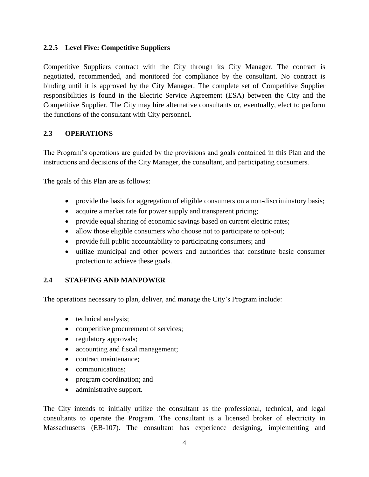#### **2.2.5 Level Five: Competitive Suppliers**

Competitive Suppliers contract with the City through its City Manager. The contract is negotiated, recommended, and monitored for compliance by the consultant. No contract is binding until it is approved by the City Manager. The complete set of Competitive Supplier responsibilities is found in the Electric Service Agreement (ESA) between the City and the Competitive Supplier. The City may hire alternative consultants or, eventually, elect to perform the functions of the consultant with City personnel.

#### **2.3 OPERATIONS**

The Program's operations are guided by the provisions and goals contained in this Plan and the instructions and decisions of the City Manager, the consultant, and participating consumers.

The goals of this Plan are as follows:

- provide the basis for aggregation of eligible consumers on a non-discriminatory basis;
- acquire a market rate for power supply and transparent pricing;
- provide equal sharing of economic savings based on current electric rates;
- allow those eligible consumers who choose not to participate to opt-out;
- provide full public accountability to participating consumers; and
- utilize municipal and other powers and authorities that constitute basic consumer protection to achieve these goals.

#### **2.4 STAFFING AND MANPOWER**

The operations necessary to plan, deliver, and manage the City's Program include:

- technical analysis;
- competitive procurement of services;
- regulatory approvals;
- accounting and fiscal management;
- contract maintenance:
- communications;
- program coordination; and
- administrative support.

The City intends to initially utilize the consultant as the professional, technical, and legal consultants to operate the Program. The consultant is a licensed broker of electricity in Massachusetts (EB-107). The consultant has experience designing, implementing and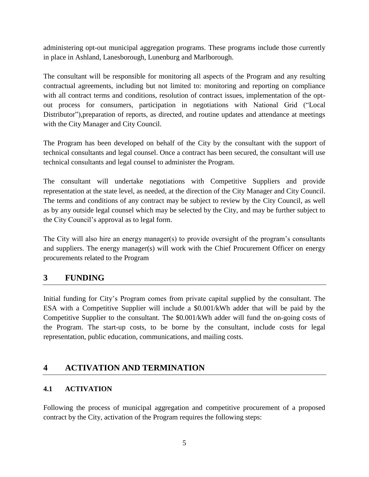administering opt-out municipal aggregation programs. These programs include those currently in place in Ashland, Lanesborough, Lunenburg and Marlborough.

The consultant will be responsible for monitoring all aspects of the Program and any resulting contractual agreements, including but not limited to: monitoring and reporting on compliance with all contract terms and conditions, resolution of contract issues, implementation of the optout process for consumers, participation in negotiations with National Grid ("Local Distributor"),preparation of reports, as directed, and routine updates and attendance at meetings with the City Manager and City Council.

The Program has been developed on behalf of the City by the consultant with the support of technical consultants and legal counsel. Once a contract has been secured, the consultant will use technical consultants and legal counsel to administer the Program.

The consultant will undertake negotiations with Competitive Suppliers and provide representation at the state level, as needed, at the direction of the City Manager and City Council. The terms and conditions of any contract may be subject to review by the City Council, as well as by any outside legal counsel which may be selected by the City, and may be further subject to the City Council's approval as to legal form.

The City will also hire an energy manager(s) to provide oversight of the program's consultants and suppliers. The energy manager(s) will work with the Chief Procurement Officer on energy procurements related to the Program

### **3 FUNDING**

Initial funding for City's Program comes from private capital supplied by the consultant. The ESA with a Competitive Supplier will include a \$0.001/kWh adder that will be paid by the Competitive Supplier to the consultant. The \$0.001/kWh adder will fund the on-going costs of the Program. The start-up costs, to be borne by the consultant, include costs for legal representation, public education, communications, and mailing costs.

### **4 ACTIVATION AND TERMINATION**

#### **4.1 ACTIVATION**

Following the process of municipal aggregation and competitive procurement of a proposed contract by the City, activation of the Program requires the following steps: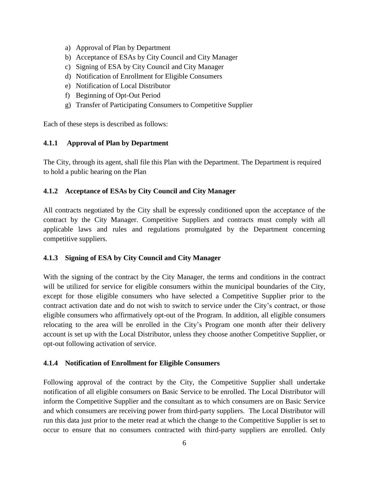- a) Approval of Plan by Department
- b) Acceptance of ESAs by City Council and City Manager
- c) Signing of ESA by City Council and City Manager
- d) Notification of Enrollment for Eligible Consumers
- e) Notification of Local Distributor
- f) Beginning of Opt-Out Period
- g) Transfer of Participating Consumers to Competitive Supplier

Each of these steps is described as follows:

#### **4.1.1 Approval of Plan by Department**

The City, through its agent, shall file this Plan with the Department. The Department is required to hold a public hearing on the Plan

#### **4.1.2 Acceptance of ESAs by City Council and City Manager**

All contracts negotiated by the City shall be expressly conditioned upon the acceptance of the contract by the City Manager. Competitive Suppliers and contracts must comply with all applicable laws and rules and regulations promulgated by the Department concerning competitive suppliers.

#### **4.1.3 Signing of ESA by City Council and City Manager**

With the signing of the contract by the City Manager, the terms and conditions in the contract will be utilized for service for eligible consumers within the municipal boundaries of the City, except for those eligible consumers who have selected a Competitive Supplier prior to the contract activation date and do not wish to switch to service under the City's contract, or those eligible consumers who affirmatively opt-out of the Program. In addition, all eligible consumers relocating to the area will be enrolled in the City's Program one month after their delivery account is set up with the Local Distributor, unless they choose another Competitive Supplier, or opt-out following activation of service.

#### **4.1.4 Notification of Enrollment for Eligible Consumers**

Following approval of the contract by the City, the Competitive Supplier shall undertake notification of all eligible consumers on Basic Service to be enrolled. The Local Distributor will inform the Competitive Supplier and the consultant as to which consumers are on Basic Service and which consumers are receiving power from third-party suppliers. The Local Distributor will run this data just prior to the meter read at which the change to the Competitive Supplier is set to occur to ensure that no consumers contracted with third-party suppliers are enrolled. Only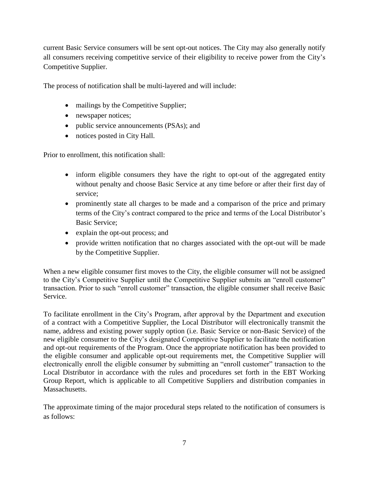current Basic Service consumers will be sent opt-out notices. The City may also generally notify all consumers receiving competitive service of their eligibility to receive power from the City's Competitive Supplier.

The process of notification shall be multi-layered and will include:

- mailings by the Competitive Supplier;
- newspaper notices;
- public service announcements (PSAs); and
- notices posted in City Hall.

Prior to enrollment, this notification shall:

- inform eligible consumers they have the right to opt-out of the aggregated entity without penalty and choose Basic Service at any time before or after their first day of service;
- prominently state all charges to be made and a comparison of the price and primary terms of the City's contract compared to the price and terms of the Local Distributor's Basic Service;
- explain the opt-out process; and
- provide written notification that no charges associated with the opt-out will be made by the Competitive Supplier.

When a new eligible consumer first moves to the City, the eligible consumer will not be assigned to the City's Competitive Supplier until the Competitive Supplier submits an "enroll customer" transaction. Prior to such "enroll customer" transaction, the eligible consumer shall receive Basic Service.

To facilitate enrollment in the City's Program, after approval by the Department and execution of a contract with a Competitive Supplier, the Local Distributor will electronically transmit the name, address and existing power supply option (i.e. Basic Service or non-Basic Service) of the new eligible consumer to the City's designated Competitive Supplier to facilitate the notification and opt-out requirements of the Program. Once the appropriate notification has been provided to the eligible consumer and applicable opt-out requirements met, the Competitive Supplier will electronically enroll the eligible consumer by submitting an "enroll customer" transaction to the Local Distributor in accordance with the rules and procedures set forth in the EBT Working Group Report, which is applicable to all Competitive Suppliers and distribution companies in Massachusetts.

The approximate timing of the major procedural steps related to the notification of consumers is as follows: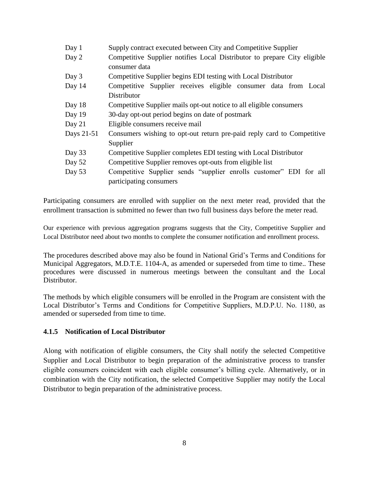| Day 1      | Supply contract executed between City and Competitive Supplier                                |  |
|------------|-----------------------------------------------------------------------------------------------|--|
| Day 2      | Competitive Supplier notifies Local Distributor to prepare City eligible<br>consumer data     |  |
| Day 3      | Competitive Supplier begins EDI testing with Local Distributor                                |  |
| Day 14     | Competitive Supplier receives eligible consumer data from Local                               |  |
|            | Distributor                                                                                   |  |
| Day 18     | Competitive Supplier mails opt-out notice to all eligible consumers                           |  |
| Day 19     | 30-day opt-out period begins on date of postmark                                              |  |
| Day $21$   | Eligible consumers receive mail                                                               |  |
| Days 21-51 | Consumers wishing to opt-out return pre-paid reply card to Competitive                        |  |
|            | Supplier                                                                                      |  |
| Day 33     | Competitive Supplier completes EDI testing with Local Distributor                             |  |
| Day 52     | Competitive Supplier removes opt-outs from eligible list                                      |  |
| Day $53$   | Competitive Supplier sends "supplier enrolls customer" EDI for all<br>participating consumers |  |

Participating consumers are enrolled with supplier on the next meter read, provided that the enrollment transaction is submitted no fewer than two full business days before the meter read.

Our experience with previous aggregation programs suggests that the City, Competitive Supplier and Local Distributor need about two months to complete the consumer notification and enrollment process.

The procedures described above may also be found in National Grid's Terms and Conditions for Municipal Aggregators, M.D.T.E. 1104-A, as amended or superseded from time to time.. These procedures were discussed in numerous meetings between the consultant and the Local Distributor.

The methods by which eligible consumers will be enrolled in the Program are consistent with the Local Distributor's Terms and Conditions for Competitive Suppliers, M.D.P.U. No. 1180, as amended or superseded from time to time.

#### **4.1.5 Notification of Local Distributor**

Along with notification of eligible consumers, the City shall notify the selected Competitive Supplier and Local Distributor to begin preparation of the administrative process to transfer eligible consumers coincident with each eligible consumer's billing cycle. Alternatively, or in combination with the City notification, the selected Competitive Supplier may notify the Local Distributor to begin preparation of the administrative process.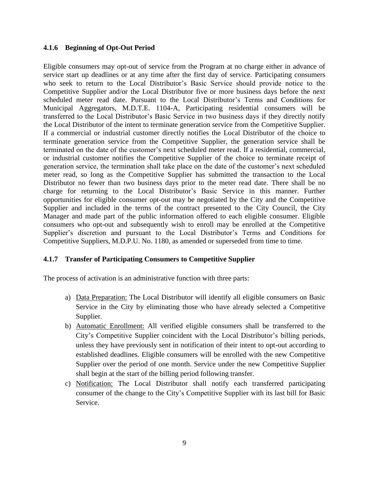#### **4.1.6 Beginning of Opt-Out Period**

Eligible consumers may opt-out of service from the Program at no charge either in advance of service start up deadlines or at any time after the first day of service. Participating consumers who seek to return to the Local Distributor's Basic Service should provide notice to the Competitive Supplier and/or the Local Distributor five or more business days before the next scheduled meter read date. Pursuant to the Local Distributor's Terms and Conditions for Municipal Aggregators, M.D.T.E. 1104-A, Participating residential consumers will be transferred to the Local Distributor's Basic Service in two business days if they directly notify the Local Distributor of the intent to terminate generation service from the Competitive Supplier. If a commercial or industrial customer directly notifies the Local Distributor of the choice to terminate generation service from the Competitive Supplier, the generation service shall be terminated on the date of the customer's next scheduled meter read. If a residential, commercial, or industrial customer notifies the Competitive Supplier of the choice to terminate receipt of generation service, the termination shall take place on the date of the customer's next scheduled meter read, so long as the Competitive Supplier has submitted the transaction to the Local Distributor no fewer than two business days prior to the meter read date. There shall be no charge for returning to the Local Distributor's Basic Service in this manner. Further opportunities for eligible consumer opt-out may be negotiated by the City and the Competitive Supplier and included in the terms of the contract presented to the City Council, the City Manager and made part of the public information offered to each eligible consumer. Eligible consumers who opt-out and subsequently wish to enroll may be enrolled at the Competitive Supplier's discretion and pursuant to the Local Distributor's Terms and Conditions for Competitive Suppliers, M.D.P.U. No. 1180, as amended or superseded from time to time.

#### **4.1.7 Transfer of Participating Consumers to Competitive Supplier**

The process of activation is an administrative function with three parts:

- a) Data Preparation: The Local Distributor will identify all eligible consumers on Basic Service in the City by eliminating those who have already selected a Competitive Supplier.
- b) Automatic Enrollment: All verified eligible consumers shall be transferred to the City's Competitive Supplier coincident with the Local Distributor's billing periods, unless they have previously sent in notification of their intent to opt-out according to established deadlines. Eligible consumers will be enrolled with the new Competitive Supplier over the period of one month. Service under the new Competitive Supplier shall begin at the start of the billing period following transfer.
- c) Notification: The Local Distributor shall notify each transferred participating consumer of the change to the City's Competitive Supplier with its last bill for Basic Service.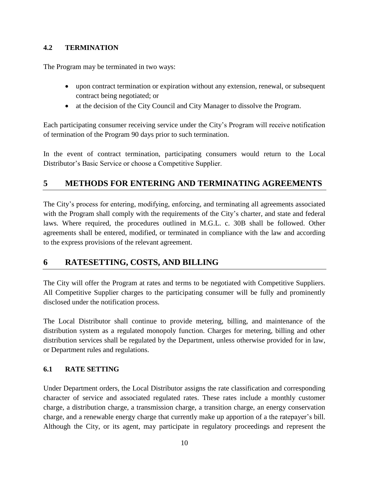#### **4.2 TERMINATION**

The Program may be terminated in two ways:

- upon contract termination or expiration without any extension, renewal, or subsequent contract being negotiated; or
- at the decision of the City Council and City Manager to dissolve the Program.

Each participating consumer receiving service under the City's Program will receive notification of termination of the Program 90 days prior to such termination.

In the event of contract termination, participating consumers would return to the Local Distributor's Basic Service or choose a Competitive Supplier.

### **5 METHODS FOR ENTERING AND TERMINATING AGREEMENTS**

The City's process for entering, modifying, enforcing, and terminating all agreements associated with the Program shall comply with the requirements of the City's charter, and state and federal laws. Where required, the procedures outlined in M.G.L. c. 30B shall be followed. Other agreements shall be entered, modified, or terminated in compliance with the law and according to the express provisions of the relevant agreement.

### **6 RATESETTING, COSTS, AND BILLING**

The City will offer the Program at rates and terms to be negotiated with Competitive Suppliers. All Competitive Supplier charges to the participating consumer will be fully and prominently disclosed under the notification process.

The Local Distributor shall continue to provide metering, billing, and maintenance of the distribution system as a regulated monopoly function. Charges for metering, billing and other distribution services shall be regulated by the Department, unless otherwise provided for in law, or Department rules and regulations.

#### **6.1 RATE SETTING**

Under Department orders, the Local Distributor assigns the rate classification and corresponding character of service and associated regulated rates. These rates include a monthly customer charge, a distribution charge, a transmission charge, a transition charge, an energy conservation charge, and a renewable energy charge that currently make up apportion of a the ratepayer's bill. Although the City, or its agent, may participate in regulatory proceedings and represent the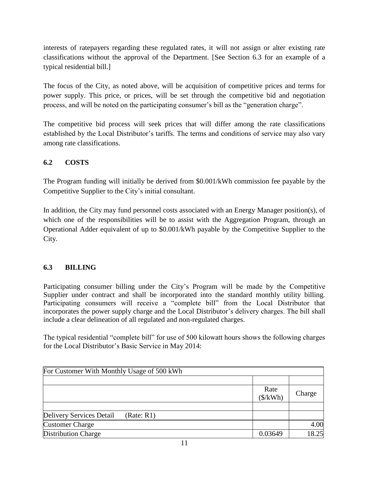interests of ratepayers regarding these regulated rates, it will not assign or alter existing rate classifications without the approval of the Department. [See Section 6.3 for an example of a typical residential bill.]

The focus of the City, as noted above, will be acquisition of competitive prices and terms for power supply. This price, or prices, will be set through the competitive bid and negotiation process, and will be noted on the participating consumer's bill as the "generation charge".

The competitive bid process will seek prices that will differ among the rate classifications established by the Local Distributor's tariffs. The terms and conditions of service may also vary among rate classifications.

#### **6.2 COSTS**

The Program funding will initially be derived from \$0.001/kWh commission fee payable by the Competitive Supplier to the City's initial consultant.

In addition, the City may fund personnel costs associated with an Energy Manager position(s), of which one of the responsibilities will be to assist with the Aggregation Program, through an Operational Adder equivalent of up to \$0.001/kWh payable by the Competitive Supplier to the City.

#### **6.3 BILLING**

Participating consumer billing under the City's Program will be made by the Competitive Supplier under contract and shall be incorporated into the standard monthly utility billing. Participating consumers will receive a "complete bill" from the Local Distributor that incorporates the power supply charge and the Local Distributor's delivery charges. The bill shall include a clear delineation of all regulated and non-regulated charges.

The typical residential "complete bill" for use of 500 kilowatt hours shows the following charges for the Local Distributor's Basic Service in May 2014:

| For Customer With Monthly Usage of 500 kWh |                                |        |  |  |
|--------------------------------------------|--------------------------------|--------|--|--|
|                                            |                                |        |  |  |
|                                            | Rate<br>$(\frac{\sqrt{2}}{N})$ | Charge |  |  |
|                                            |                                |        |  |  |
| Delivery Services Detail<br>(Rate: R1)     |                                |        |  |  |
| <b>Customer Charge</b>                     |                                | 4.00   |  |  |
| <b>Distribution Charge</b>                 | 0.03649                        | 18.25  |  |  |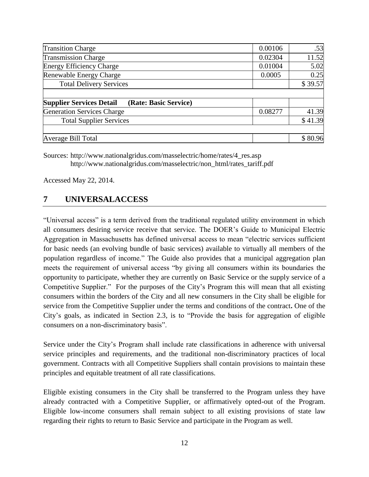| <b>Transition Charge</b>                                 | 0.00106 | .53     |
|----------------------------------------------------------|---------|---------|
| <b>Transmission Charge</b>                               |         | 11.52   |
| <b>Energy Efficiency Charge</b>                          | 0.01004 | 5.02    |
| Renewable Energy Charge                                  | 0.0005  | 0.25    |
| <b>Total Delivery Services</b>                           |         | \$39.57 |
|                                                          |         |         |
| (Rate: Basic Service)<br><b>Supplier Services Detail</b> |         |         |
| Generation Services Charge                               | 0.08277 | 41.39   |
| <b>Total Supplier Services</b>                           |         | \$41.39 |
|                                                          |         |         |
| Average Bill Total                                       |         | \$80.96 |

Sources: http://www.nationalgridus.com/masselectric/home/rates/4\_res.asp [http://www.nationalgridus.com/masselectric/non\\_html/rates\\_tariff.pdf](http://www.nationalgridus.com/masselectric/non_html/rates_tariff.pdf)

Accessed May 22, 2014.

### **7 UNIVERSALACCESS**

"Universal access" is a term derived from the traditional regulated utility environment in which all consumers desiring service receive that service. The DOER's Guide to Municipal Electric Aggregation in Massachusetts has defined universal access to mean "electric services sufficient for basic needs (an evolving bundle of basic services) available to virtually all members of the population regardless of income." The Guide also provides that a municipal aggregation plan meets the requirement of universal access "by giving all consumers within its boundaries the opportunity to participate, whether they are currently on Basic Service or the supply service of a Competitive Supplier." For the purposes of the City's Program this will mean that all existing consumers within the borders of the City and all new consumers in the City shall be eligible for service from the Competitive Supplier under the terms and conditions of the contract**.** One of the City's goals, as indicated in Section 2.3, is to "Provide the basis for aggregation of eligible consumers on a non-discriminatory basis".

Service under the City's Program shall include rate classifications in adherence with universal service principles and requirements, and the traditional non-discriminatory practices of local government. Contracts with all Competitive Suppliers shall contain provisions to maintain these principles and equitable treatment of all rate classifications.

Eligible existing consumers in the City shall be transferred to the Program unless they have already contracted with a Competitive Supplier, or affirmatively opted-out of the Program. Eligible low-income consumers shall remain subject to all existing provisions of state law regarding their rights to return to Basic Service and participate in the Program as well.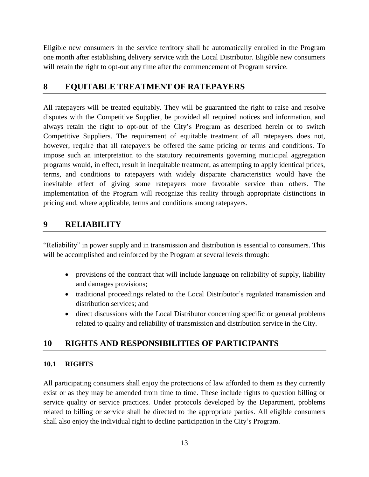Eligible new consumers in the service territory shall be automatically enrolled in the Program one month after establishing delivery service with the Local Distributor. Eligible new consumers will retain the right to opt-out any time after the commencement of Program service.

### **8 EQUITABLE TREATMENT OF RATEPAYERS**

All ratepayers will be treated equitably. They will be guaranteed the right to raise and resolve disputes with the Competitive Supplier, be provided all required notices and information, and always retain the right to opt-out of the City's Program as described herein or to switch Competitive Suppliers. The requirement of equitable treatment of all ratepayers does not, however, require that all ratepayers be offered the same pricing or terms and conditions. To impose such an interpretation to the statutory requirements governing municipal aggregation programs would, in effect, result in inequitable treatment, as attempting to apply identical prices, terms, and conditions to ratepayers with widely disparate characteristics would have the inevitable effect of giving some ratepayers more favorable service than others. The implementation of the Program will recognize this reality through appropriate distinctions in pricing and, where applicable, terms and conditions among ratepayers.

### **9 RELIABILITY**

"Reliability" in power supply and in transmission and distribution is essential to consumers. This will be accomplished and reinforced by the Program at several levels through:

- provisions of the contract that will include language on reliability of supply, liability and damages provisions;
- traditional proceedings related to the Local Distributor's regulated transmission and distribution services; and
- direct discussions with the Local Distributor concerning specific or general problems related to quality and reliability of transmission and distribution service in the City.

### **10 RIGHTS AND RESPONSIBILITIES OF PARTICIPANTS**

#### **10.1 RIGHTS**

All participating consumers shall enjoy the protections of law afforded to them as they currently exist or as they may be amended from time to time. These include rights to question billing or service quality or service practices. Under protocols developed by the Department, problems related to billing or service shall be directed to the appropriate parties. All eligible consumers shall also enjoy the individual right to decline participation in the City's Program.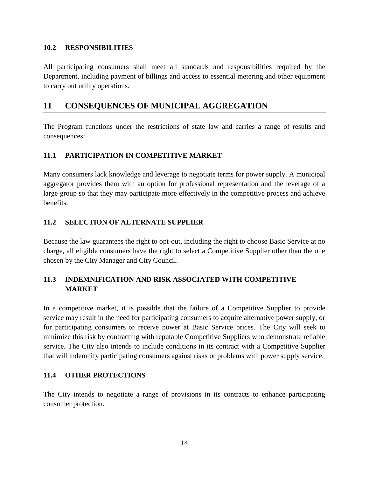#### **10.2 RESPONSIBILITIES**

All participating consumers shall meet all standards and responsibilities required by the Department, including payment of billings and access to essential metering and other equipment to carry out utility operations.

#### **11 CONSEQUENCES OF MUNICIPAL AGGREGATION**

The Program functions under the restrictions of state law and carries a range of results and consequences:

#### **11.1 PARTICIPATION IN COMPETITIVE MARKET**

Many consumers lack knowledge and leverage to negotiate terms for power supply. A municipal aggregator provides them with an option for professional representation and the leverage of a large group so that they may participate more effectively in the competitive process and achieve benefits.

#### **11.2 SELECTION OF ALTERNATE SUPPLIER**

Because the law guarantees the right to opt-out, including the right to choose Basic Service at no charge, all eligible consumers have the right to select a Competitive Supplier other than the one chosen by the City Manager and City Council.

#### **11.3 INDEMNIFICATION AND RISK ASSOCIATED WITH COMPETITIVE MARKET**

In a competitive market, it is possible that the failure of a Competitive Supplier to provide service may result in the need for participating consumers to acquire alternative power supply, or for participating consumers to receive power at Basic Service prices. The City will seek to minimize this risk by contracting with reputable Competitive Suppliers who demonstrate reliable service. The City also intends to include conditions in its contract with a Competitive Supplier that will indemnify participating consumers against risks or problems with power supply service.

#### **11.4 OTHER PROTECTIONS**

The City intends to negotiate a range of provisions in its contracts to enhance participating consumer protection.